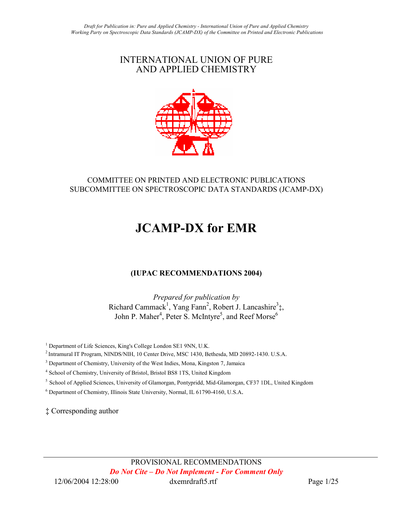# INTERNATIONAL UNION OF PURE AND APPLIED CHEMISTRY



# COMMITTEE ON PRINTED AND ELECTRONIC PUBLICATIONS SUBCOMMITTEE ON SPECTROSCOPIC DATA STANDARDS (JCAMP-DX)

# JCAMP-DX for EMR

# (IUPAC RECOMMENDATIONS 2004)

Prepared for publication by Richard Cammack<sup>1</sup>, Yang Fann<sup>2</sup>, Robert J. Lancashire<sup>3</sup>‡, John P. Maher<sup>4</sup>, Peter S. McIntyre<sup>5</sup>, and Reef Morse<sup>6</sup>

<sup>1</sup> Department of Life Sciences, King's College London SE1 9NN, U.K.

<sup>2</sup>Intramural IT Program, NINDS/NIH, 10 Center Drive, MSC 1430, Bethesda, MD 20892-1430. U.S.A.

<sup>3</sup> Department of Chemistry, University of the West Indies, Mona, Kingston 7, Jamaica

<sup>4</sup> School of Chemistry, University of Bristol, Bristol BS8 1TS, United Kingdom

<sup>5</sup> School of Applied Sciences, University of Glamorgan, Pontypridd, Mid-Glamorgan, CF37 1DL, United Kingdom

6 Department of Chemistry, Illinois State University, Normal, IL 61790-4160, U.S.A.

‡ Corresponding author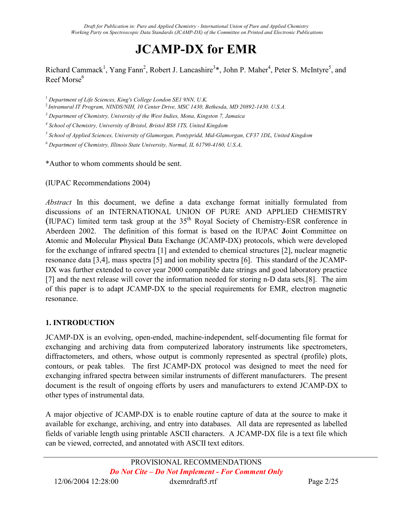# JCAMP-DX for EMR

Richard Cammack<sup>1</sup>, Yang Fann<sup>2</sup>, Robert J. Lancashire<sup>3</sup>\*, John P. Maher<sup>4</sup>, Peter S. McIntyre<sup>5</sup>, and  $ReefMorse<sup>6</sup>$ 

<sup>1</sup> Department of Life Sciences, King's College London SE1 9NN, U.K.

<sup>2</sup>Intramural IT Program, NINDS/NIH, 10 Center Drive, MSC 1430, Bethesda, MD 20892-1430. U.S.A.

 $3$  Department of Chemistry, University of the West Indies, Mona, Kingston 7, Jamaica

4 School of Chemistry, University of Bristol, Bristol BS8 1TS, United Kingdom

<sup>5</sup> School of Applied Sciences, University of Glamorgan, Pontypridd, Mid-Glamorgan, CF37 1DL, United Kingdom

 $^6$  Department of Chemistry, Illinois State University, Normal, IL 61790-4160, U.S.A.

\*Author to whom comments should be sent.

(IUPAC Recommendations 2004)

Abstract In this document, we define a data exchange format initially formulated from discussions of an INTERNATIONAL UNION OF PURE AND APPLIED CHEMISTRY (IUPAC) limited term task group at the  $35<sup>th</sup>$  Royal Society of Chemistry-ESR conference in Aberdeen 2002. The definition of this format is based on the IUPAC Joint Committee on Atomic and Molecular Physical Data Exchange (JCAMP-DX) protocols, which were developed for the exchange of infrared spectra [1] and extended to chemical structures [2], nuclear magnetic resonance data [3,4], mass spectra [5] and ion mobility spectra [6]. This standard of the JCAMP-DX was further extended to cover year 2000 compatible date strings and good laboratory practice [7] and the next release will cover the information needed for storing n-D data sets.[8]. The aim of this paper is to adapt JCAMP-DX to the special requirements for EMR, electron magnetic resonance.

#### 1. INTRODUCTION

JCAMP-DX is an evolving, open-ended, machine-independent, self-documenting file format for exchanging and archiving data from computerized laboratory instruments like spectrometers, diffractometers, and others, whose output is commonly represented as spectral (profile) plots, contours, or peak tables. The first JCAMP-DX protocol was designed to meet the need for exchanging infrared spectra between similar instruments of different manufacturers. The present document is the result of ongoing efforts by users and manufacturers to extend JCAMP-DX to other types of instrumental data.

A major objective of JCAMP-DX is to enable routine capture of data at the source to make it available for exchange, archiving, and entry into databases. All data are represented as labelled fields of variable length using printable ASCII characters. A JCAMP-DX file is a text file which can be viewed, corrected, and annotated with ASCII text editors.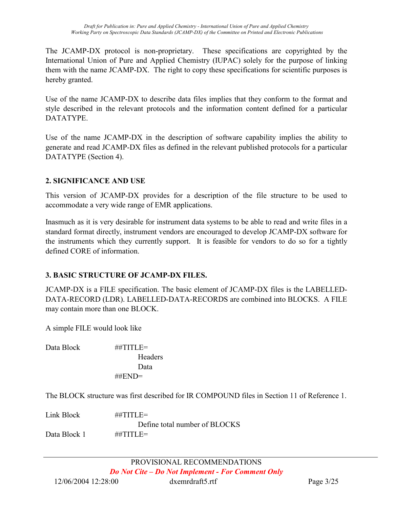The JCAMP-DX protocol is non-proprietary. These specifications are copyrighted by the International Union of Pure and Applied Chemistry (IUPAC) solely for the purpose of linking them with the name JCAMP-DX. The right to copy these specifications for scientific purposes is hereby granted.

Use of the name JCAMP-DX to describe data files implies that they conform to the format and style described in the relevant protocols and the information content defined for a particular DATATYPE.

Use of the name JCAMP-DX in the description of software capability implies the ability to generate and read JCAMP-DX files as defined in the relevant published protocols for a particular DATATYPE (Section 4).

### 2. SIGNIFICANCE AND USE

This version of JCAMP-DX provides for a description of the file structure to be used to accommodate a very wide range of EMR applications.

Inasmuch as it is very desirable for instrument data systems to be able to read and write files in a standard format directly, instrument vendors are encouraged to develop JCAMP-DX software for the instruments which they currently support. It is feasible for vendors to do so for a tightly defined CORE of information.

#### 3. BASIC STRUCTURE OF JCAMP-DX FILES.

JCAMP-DX is a FILE specification. The basic element of JCAMP-DX files is the LABELLED-DATA-RECORD (LDR). LABELLED-DATA-RECORDS are combined into BLOCKS. A FILE may contain more than one BLOCK.

A simple FILE would look like

Data Block ##TITLE= Headers Data ##END=

The BLOCK structure was first described for IR COMPOUND files in Section 11 of Reference 1.

Link Block  $\#$  $\#$ TITLE= Define total number of BLOCKS Data Block 1 ##TITLE=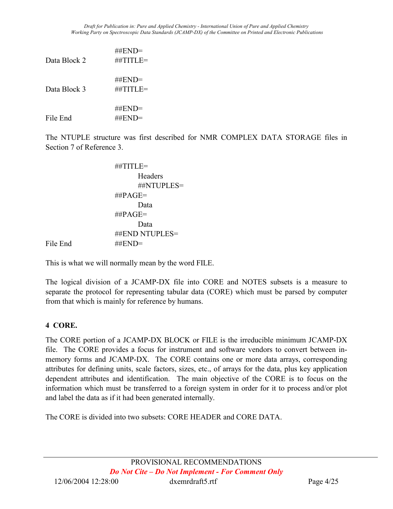| Data Block 2 | $\#$ $END=$<br>$\#$ #TITLE=             |
|--------------|-----------------------------------------|
| Data Block 3 | ##END=<br>##TITLE=                      |
| File End     | $\#$ $END=$<br>$\#$ $\#$ $\text{END}$ = |

The NTUPLE structure was first described for NMR COMPLEX DATA STORAGE files in Section 7 of Reference 3.

```
 ##TITLE= 
                         Headers 
                         ##NTUPLES= 
                  \##PAGE=
                         Data 
                   ##PAGE= 
                         Data 
                   ##END NTUPLES= 
File End ##END=
```
This is what we will normally mean by the word FILE.

The logical division of a JCAMP-DX file into CORE and NOTES subsets is a measure to separate the protocol for representing tabular data (CORE) which must be parsed by computer from that which is mainly for reference by humans.

# 4 CORE.

The CORE portion of a JCAMP-DX BLOCK or FILE is the irreducible minimum JCAMP-DX file. The CORE provides a focus for instrument and software vendors to convert between inmemory forms and JCAMP-DX. The CORE contains one or more data arrays, corresponding attributes for defining units, scale factors, sizes, etc., of arrays for the data, plus key application dependent attributes and identification. The main objective of the CORE is to focus on the information which must be transferred to a foreign system in order for it to process and/or plot and label the data as if it had been generated internally.

The CORE is divided into two subsets: CORE HEADER and CORE DATA.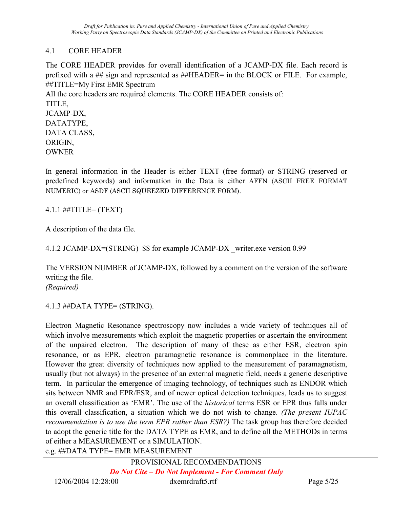# 4.1 CORE HEADER

The CORE HEADER provides for overall identification of a JCAMP-DX file. Each record is prefixed with a ## sign and represented as ##HEADER= in the BLOCK or FILE. For example, ##TITLE=My First EMR Spectrum All the core headers are required elements. The CORE HEADER consists of: TITLE, JCAMP-DX, DATATYPE, DATA CLASS, ORIGIN, OWNER

In general information in the Header is either TEXT (free format) or STRING (reserved or predefined keywords) and information in the Data is either AFFN (ASCII FREE FORMAT NUMERIC) or ASDF (ASCII SQUEEZED DIFFERENCE FORM).

4.1.1 ##TITLE= (TEXT)

A description of the data file.

4.1.2 JCAMP-DX=(STRING) \$\$ for example JCAMP-DX \_writer.exe version 0.99

The VERSION NUMBER of JCAMP-DX, followed by a comment on the version of the software writing the file. (Required)

4.1.3 ##DATA TYPE= (STRING).

Electron Magnetic Resonance spectroscopy now includes a wide variety of techniques all of which involve measurements which exploit the magnetic properties or ascertain the environment of the unpaired electron. The description of many of these as either ESR, electron spin resonance, or as EPR, electron paramagnetic resonance is commonplace in the literature. However the great diversity of techniques now applied to the measurement of paramagnetism, usually (but not always) in the presence of an external magnetic field, needs a generic descriptive term. In particular the emergence of imaging technology, of techniques such as ENDOR which sits between NMR and EPR/ESR, and of newer optical detection techniques, leads us to suggest an overall classification as 'EMR'. The use of the historical terms ESR or EPR thus falls under this overall classification, a situation which we do not wish to change. (The present IUPAC recommendation is to use the term EPR rather than ESR?) The task group has therefore decided to adopt the generic title for the DATA TYPE as EMR, and to define all the METHODs in terms of either a MEASUREMENT or a SIMULATION. e.g. ##DATA TYPE= EMR MEASUREMENT

PROVISIONAL RECOMMENDATIONS Do Not Cite – Do Not Implement - For Comment Only 12/06/2004 12:28:00 dxemrdraft5.rtf Page 5/25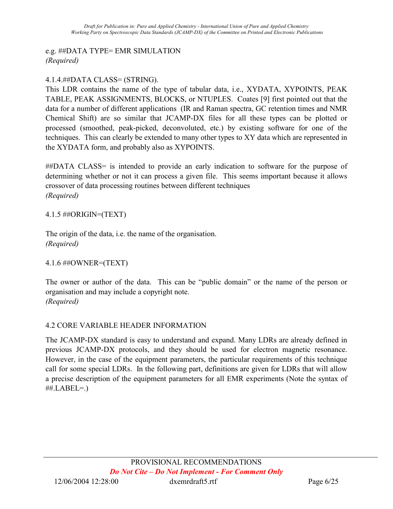# e.g. ##DATA TYPE= EMR SIMULATION (Required)

# 4.1.4.##DATA CLASS= (STRING).

This LDR contains the name of the type of tabular data, i.e., XYDATA, XYPOINTS, PEAK TABLE, PEAK ASSIGNMENTS, BLOCKS, or NTUPLES. Coates [9] first pointed out that the data for a number of different applications (IR and Raman spectra, GC retention times and NMR Chemical Shift) are so similar that JCAMP-DX files for all these types can be plotted or processed (smoothed, peak-picked, deconvoluted, etc.) by existing software for one of the techniques. This can clearly be extended to many other types to XY data which are represented in the XYDATA form, and probably also as XYPOINTS.

##DATA CLASS= is intended to provide an early indication to software for the purpose of determining whether or not it can process a given file. This seems important because it allows crossover of data processing routines between different techniques (Required)

### 4.1.5 ##ORIGIN=(TEXT)

The origin of the data, i.e. the name of the organisation. (Required)

#### 4.1.6 ##OWNER=(TEXT)

The owner or author of the data. This can be "public domain" or the name of the person or organisation and may include a copyright note. (Required)

# 4.2 CORE VARIABLE HEADER INFORMATION

The JCAMP-DX standard is easy to understand and expand. Many LDRs are already defined in previous JCAMP-DX protocols, and they should be used for electron magnetic resonance. However, in the case of the equipment parameters, the particular requirements of this technique call for some special LDRs. In the following part, definitions are given for LDRs that will allow a precise description of the equipment parameters for all EMR experiments (Note the syntax of  $\#$  $L$ ABEL $=$ .)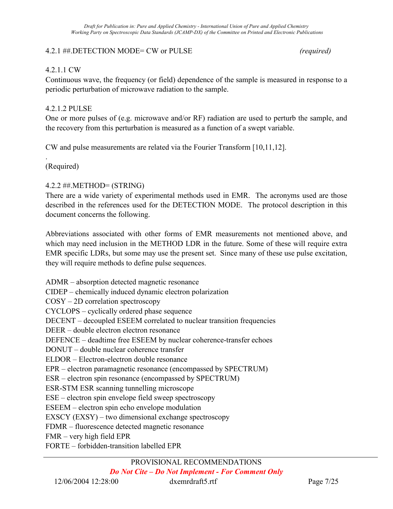#### 4.2.1 ##.DETECTION MODE= CW or PULSE (required)

#### 4.2.1.1 CW

Continuous wave, the frequency (or field) dependence of the sample is measured in response to a periodic perturbation of microwave radiation to the sample.

#### 4.2.1.2 PULSE

One or more pulses of (e.g. microwave and/or RF) radiation are used to perturb the sample, and the recovery from this perturbation is measured as a function of a swept variable.

CW and pulse measurements are related via the Fourier Transform [10,11,12].

(Required)

.

#### 4.2.2 ##.METHOD= (STRING)

There are a wide variety of experimental methods used in EMR. The acronyms used are those described in the references used for the DETECTION MODE. The protocol description in this document concerns the following.

Abbreviations associated with other forms of EMR measurements not mentioned above, and which may need inclusion in the METHOD LDR in the future. Some of these will require extra EMR specific LDRs, but some may use the present set. Since many of these use pulse excitation, they will require methods to define pulse sequences.

ADMR – absorption detected magnetic resonance CIDEP – chemically induced dynamic electron polarization COSY – 2D correlation spectroscopy CYCLOPS – cyclically ordered phase sequence DECENT – decoupled ESEEM correlated to nuclear transition frequencies DEER – double electron electron resonance DEFENCE – deadtime free ESEEM by nuclear coherence-transfer echoes DONUT – double nuclear coherence transfer ELDOR – Electron-electron double resonance EPR – electron paramagnetic resonance (encompassed by SPECTRUM) ESR – electron spin resonance (encompassed by SPECTRUM) ESR-STM ESR scanning tunnelling microscope ESE – electron spin envelope field sweep spectroscopy ESEEM – electron spin echo envelope modulation EXSCY (EXSY) – two dimensional exchange spectroscopy FDMR – fluorescence detected magnetic resonance FMR – very high field EPR FORTE – forbidden-transition labelled EPR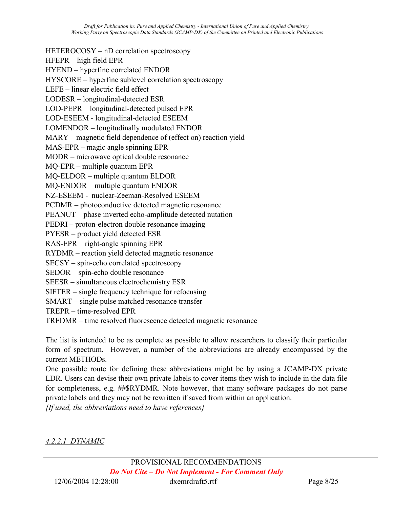HETEROCOSY – nD correlation spectroscopy HFEPR – high field EPR HYEND – hyperfine correlated ENDOR HYSCORE – hyperfine sublevel correlation spectroscopy LEFE – linear electric field effect LODESR – longitudinal-detected ESR LOD-PEPR – longitudinal-detected pulsed EPR LOD-ESEEM - longitudinal-detected ESEEM LOMENDOR – longitudinally modulated ENDOR MARY – magnetic field dependence of (effect on) reaction yield MAS-EPR – magic angle spinning EPR MODR – microwave optical double resonance MQ-EPR – multiple quantum EPR MQ-ELDOR – multiple quantum ELDOR MQ-ENDOR – multiple quantum ENDOR NZ-ESEEM - nuclear-Zeeman-Resolved ESEEM PCDMR – photoconductive detected magnetic resonance PEANUT – phase inverted echo-amplitude detected nutation PEDRI – proton-electron double resonance imaging PYESR – product yield detected ESR RAS-EPR – right-angle spinning EPR RYDMR – reaction yield detected magnetic resonance SECSY – spin-echo correlated spectroscopy SEDOR – spin-echo double resonance SEESR – simultaneous electrochemistry ESR SIFTER – single frequency technique for refocusing SMART – single pulse matched resonance transfer TREPR – time-resolved EPR TRFDMR – time resolved fluorescence detected magnetic resonance

The list is intended to be as complete as possible to allow researchers to classify their particular form of spectrum. However, a number of the abbreviations are already encompassed by the current METHODs.

One possible route for defining these abbreviations might be by using a JCAMP-DX private LDR. Users can devise their own private labels to cover items they wish to include in the data file for completeness, e.g. ##\$RYDMR. Note however, that many software packages do not parse private labels and they may not be rewritten if saved from within an application.

 ${If used, the abbreviations need to have references}$ 

4.2.2.1 DYNAMIC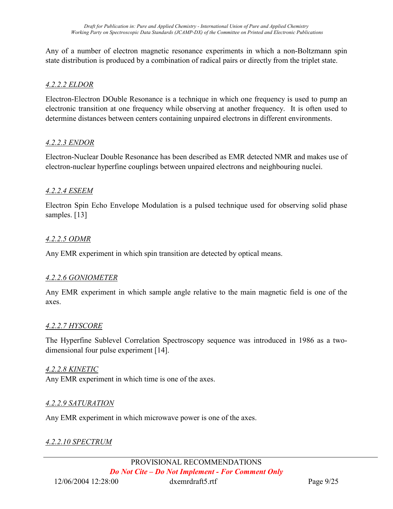Any of a number of electron magnetic resonance experiments in which a non-Boltzmann spin state distribution is produced by a combination of radical pairs or directly from the triplet state.

#### 4.2.2.2 ELDOR

Electron-Electron DOuble Resonance is a technique in which one frequency is used to pump an electronic transition at one frequency while observing at another frequency. It is often used to determine distances between centers containing unpaired electrons in different environments.

#### 4.2.2.3 ENDOR

Electron-Nuclear Double Resonance has been described as EMR detected NMR and makes use of electron-nuclear hyperfine couplings between unpaired electrons and neighbouring nuclei.

#### 4.2.2.4 ESEEM

Electron Spin Echo Envelope Modulation is a pulsed technique used for observing solid phase samples. [13]

#### 4.2.2.5 ODMR

Any EMR experiment in which spin transition are detected by optical means.

#### 4.2.2.6 GONIOMETER

Any EMR experiment in which sample angle relative to the main magnetic field is one of the axes.

#### 4.2.2.7 HYSCORE

The Hyperfine Sublevel Correlation Spectroscopy sequence was introduced in 1986 as a twodimensional four pulse experiment [14].

#### 4.2.2.8 KINETIC

Any EMR experiment in which time is one of the axes.

#### 4.2.2.9 SATURATION

Any EMR experiment in which microwave power is one of the axes.

#### 4.2.2.10 SPECTRUM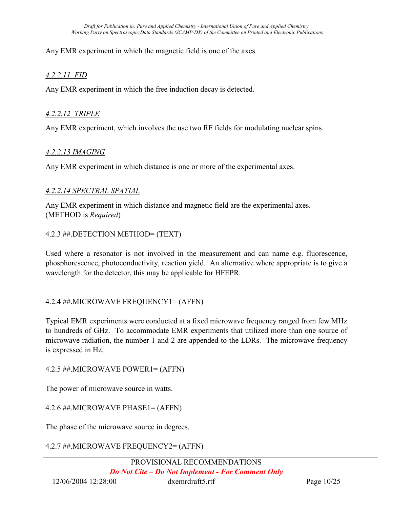Any EMR experiment in which the magnetic field is one of the axes.

### 4.2.2.11 FID

Any EMR experiment in which the free induction decay is detected.

#### 4.2.2.12 TRIPLE

Any EMR experiment, which involves the use two RF fields for modulating nuclear spins.

#### 4.2.2.13 IMAGING

Any EMR experiment in which distance is one or more of the experimental axes.

#### 4.2.2.14 SPECTRAL SPATIAL

Any EMR experiment in which distance and magnetic field are the experimental axes. (METHOD is Required)

#### 4.2.3 ##.DETECTION METHOD= (TEXT)

Used where a resonator is not involved in the measurement and can name e.g. fluorescence, phosphorescence, photoconductivity, reaction yield. An alternative where appropriate is to give a wavelength for the detector, this may be applicable for HFEPR.

#### 4.2.4 ##.MICROWAVE FREQUENCY1= (AFFN)

Typical EMR experiments were conducted at a fixed microwave frequency ranged from few MHz to hundreds of GHz. To accommodate EMR experiments that utilized more than one source of microwave radiation, the number 1 and 2 are appended to the LDRs. The microwave frequency is expressed in Hz.

4.2.5 ##.MICROWAVE POWER1= (AFFN)

The power of microwave source in watts.

4.2.6 ##.MICROWAVE PHASE1= (AFFN)

The phase of the microwave source in degrees.

#### 4.2.7 ##.MICROWAVE FREQUENCY2= (AFFN)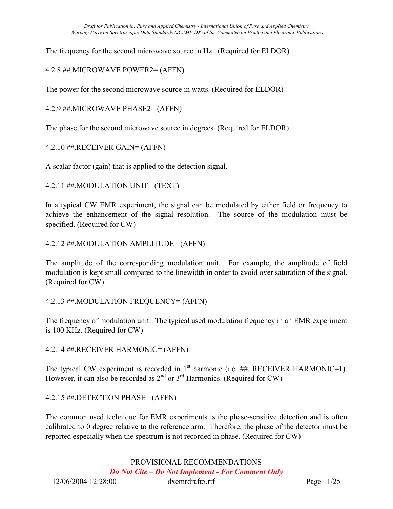The frequency for the second microwave source in Hz. (Required for ELDOR)

4.2.8 ##.MICROWAVE POWER2= (AFFN)

The power for the second microwave source in watts. (Required for ELDOR)

4.2.9 ##.MICROWAVE PHASE2= (AFFN)

The phase for the second microwave source in degrees. (Required for ELDOR)

4.2.10 ##.RECEIVER GAIN= (AFFN)

A scalar factor (gain) that is applied to the detection signal.

4.2.11 ##.MODULATION UNIT= (TEXT)

In a typical CW EMR experiment, the signal can be modulated by either field or frequency to achieve the enhancement of the signal resolution. The source of the modulation must be specified. (Required for CW)

### 4.2.12 ##.MODULATION AMPLITUDE= (AFFN)

The amplitude of the corresponding modulation unit. For example, the amplitude of field modulation is kept small compared to the linewidth in order to avoid over saturation of the signal. (Required for CW)

#### 4.2.13 ##.MODULATION FREQUENCY= (AFFN)

The frequency of modulation unit. The typical used modulation frequency in an EMR experiment is 100 KHz. (Required for CW)

4.2.14 ##.RECEIVER HARMONIC= (AFFN)

The typical CW experiment is recorded in  $1<sup>st</sup>$  harmonic (i.e. ##. RECEIVER HARMONIC=1). However, it can also be recorded as  $2^{nd}$  or  $3^{rd}$  Harmonics. (Required for CW)

4.2.15 ##.DETECTION PHASE= (AFFN)

The common used technique for EMR experiments is the phase-sensitive detection and is often calibrated to 0 degree relative to the reference arm. Therefore, the phase of the detector must be reported especially when the spectrum is not recorded in phase. (Required for CW)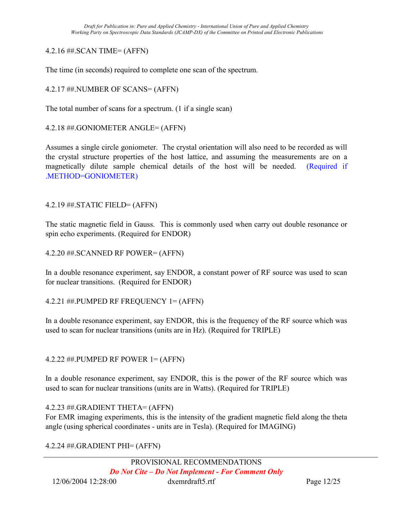#### 4.2.16 ##.SCAN TIME= (AFFN)

The time (in seconds) required to complete one scan of the spectrum.

4.2.17 ##.NUMBER OF SCANS= (AFFN)

The total number of scans for a spectrum. (1 if a single scan)

4.2.18 ##.GONIOMETER ANGLE= (AFFN)

Assumes a single circle goniometer. The crystal orientation will also need to be recorded as will the crystal structure properties of the host lattice, and assuming the measurements are on a magnetically dilute sample chemical details of the host will be needed. (Required if .METHOD=GONIOMETER)

4.2.19 ##.STATIC FIELD= (AFFN)

The static magnetic field in Gauss. This is commonly used when carry out double resonance or spin echo experiments. (Required for ENDOR)

4.2.20 ##.SCANNED RF POWER= (AFFN)

In a double resonance experiment, say ENDOR, a constant power of RF source was used to scan for nuclear transitions. (Required for ENDOR)

4.2.21 ##.PUMPED RF FREQUENCY 1= (AFFN)

In a double resonance experiment, say ENDOR, this is the frequency of the RF source which was used to scan for nuclear transitions (units are in Hz). (Required for TRIPLE)

4.2.22 ##.PUMPED RF POWER 1= (AFFN)

In a double resonance experiment, say ENDOR, this is the power of the RF source which was used to scan for nuclear transitions (units are in Watts). (Required for TRIPLE)

#### 4.2.23 ##.GRADIENT THETA= (AFFN)

For EMR imaging experiments, this is the intensity of the gradient magnetic field along the theta angle (using spherical coordinates - units are in Tesla). (Required for IMAGING)

#### 4.2.24 ##.GRADIENT PHI= (AFFN)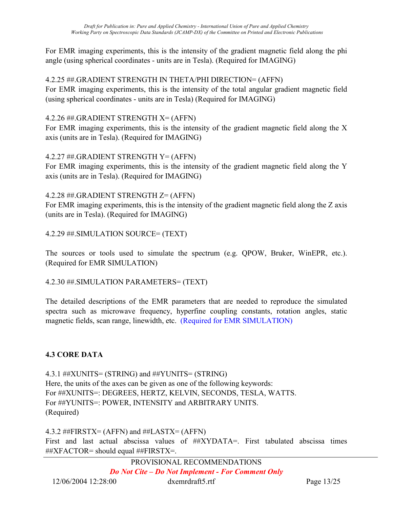For EMR imaging experiments, this is the intensity of the gradient magnetic field along the phi angle (using spherical coordinates - units are in Tesla). (Required for IMAGING)

# 4.2.25 ##.GRADIENT STRENGTH IN THETA/PHI DIRECTION= (AFFN)

For EMR imaging experiments, this is the intensity of the total angular gradient magnetic field (using spherical coordinates - units are in Tesla) (Required for IMAGING)

### 4.2.26 ##.GRADIENT STRENGTH X= (AFFN)

For EMR imaging experiments, this is the intensity of the gradient magnetic field along the X axis (units are in Tesla). (Required for IMAGING)

### 4.2.27 ##.GRADIENT STRENGTH Y= (AFFN)

For EMR imaging experiments, this is the intensity of the gradient magnetic field along the Y axis (units are in Tesla). (Required for IMAGING)

### 4.2.28 ##.GRADIENT STRENGTH Z= (AFFN)

For EMR imaging experiments, this is the intensity of the gradient magnetic field along the Z axis (units are in Tesla). (Required for IMAGING)

4.2.29 ##.SIMULATION SOURCE= (TEXT)

The sources or tools used to simulate the spectrum (e.g. QPOW, Bruker, WinEPR, etc.). (Required for EMR SIMULATION)

# 4.2.30 ##.SIMULATION PARAMETERS= (TEXT)

The detailed descriptions of the EMR parameters that are needed to reproduce the simulated spectra such as microwave frequency, hyperfine coupling constants, rotation angles, static magnetic fields, scan range, linewidth, etc. (Required for EMR SIMULATION)

# 4.3 CORE DATA

4.3.1 ##XUNITS= (STRING) and ##YUNITS= (STRING) Here, the units of the axes can be given as one of the following keywords: For ##XUNITS=: DEGREES, HERTZ, KELVIN, SECONDS, TESLA, WATTS. For ##YUNITS=: POWER, INTENSITY and ARBITRARY UNITS. (Required)

4.3.2 ##FIRSTX= (AFFN) and ##LASTX= (AFFN) First and last actual abscissa values of ##XYDATA=. First tabulated abscissa times ##XFACTOR= should equal ##FIRSTX=.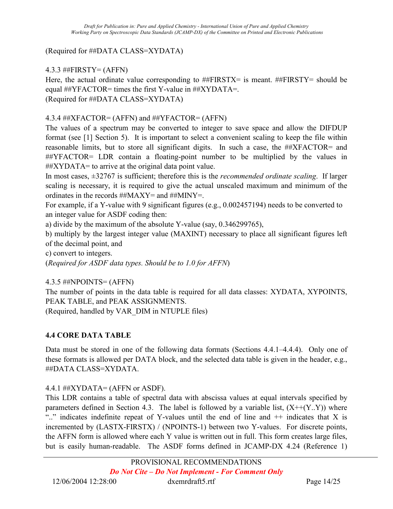### (Required for ##DATA CLASS=XYDATA)

# 4.3.3 ##FIRSTY= (AFFN)

Here, the actual ordinate value corresponding to  $#FIRSTX=$  is meant.  $#FIRSTY=$  should be equal  $\#$ YFACTOR= times the first Y-value in  $\#$  $XYDATA$ =. (Required for ##DATA CLASS=XYDATA)

#### 4.3.4 ##XFACTOR= (AFFN) and ##YFACTOR= (AFFN)

The values of a spectrum may be converted to integer to save space and allow the DIFDUP format (see [1] Section 5). It is important to select a convenient scaling to keep the file within reasonable limits, but to store all significant digits. In such a case, the ##XFACTOR= and ##YFACTOR= LDR contain a floating-point number to be multiplied by the values in  $\#$  $XYDATA$ = to arrive at the original data point value.

In most cases,  $\pm 32767$  is sufficient; therefore this is the *recommended ordinate scaling*. If larger scaling is necessary, it is required to give the actual unscaled maximum and minimum of the ordinates in the records ##MAXY= and ##MINY=.

For example, if a Y-value with 9 significant figures (e.g., 0.002457194) needs to be converted to an integer value for ASDF coding then:

a) divide by the maximum of the absolute Y-value (say, 0.346299765),

b) multiply by the largest integer value (MAXINT) necessary to place all significant figures left of the decimal point, and

c) convert to integers.

(Required for ASDF data types. Should be to 1.0 for AFFN)

4.3.5 ##NPOINTS= (AFFN)

The number of points in the data table is required for all data classes: XYDATA, XYPOINTS, PEAK TABLE, and PEAK ASSIGNMENTS.

(Required, handled by VAR\_DIM in NTUPLE files)

#### 4.4 CORE DATA TABLE

Data must be stored in one of the following data formats (Sections 4.4.1–4.4.4). Only one of these formats is allowed per DATA block, and the selected data table is given in the header, e.g., ##DATA CLASS=XYDATA.

4.4.1 ##XYDATA= (AFFN or ASDF).

This LDR contains a table of spectral data with abscissa values at equal intervals specified by parameters defined in Section 4.3. The label is followed by a variable list,  $(X + (Y, Y))$  where ".." indicates indefinite repeat of Y-values until the end of line and ++ indicates that X is incremented by (LASTX-FIRSTX) / (NPOINTS-1) between two Y-values. For discrete points, the AFFN form is allowed where each Y value is written out in full. This form creates large files, but is easily human-readable. The ASDF forms defined in JCAMP-DX 4.24 (Reference 1)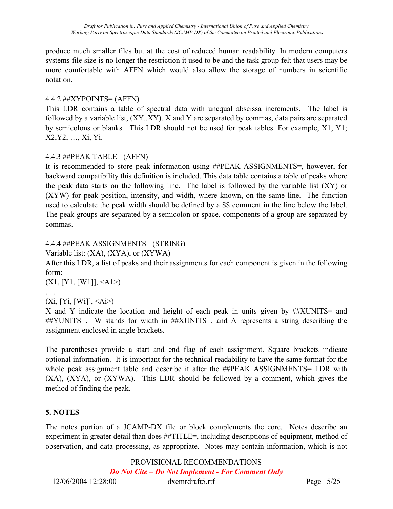produce much smaller files but at the cost of reduced human readability. In modern computers systems file size is no longer the restriction it used to be and the task group felt that users may be more comfortable with AFFN which would also allow the storage of numbers in scientific notation.

# 4.4.2 ##XYPOINTS= (AFFN)

This LDR contains a table of spectral data with unequal abscissa increments. The label is followed by a variable list, (XY..XY). X and Y are separated by commas, data pairs are separated by semicolons or blanks. This LDR should not be used for peak tables. For example, X1, Y1; X2,Y2, …, Xi, Yi.

# 4.4.3 ##PEAK TABLE= (AFFN)

It is recommended to store peak information using ##PEAK ASSIGNMENTS=, however, for backward compatibility this definition is included. This data table contains a table of peaks where the peak data starts on the following line. The label is followed by the variable list (XY) or (XYW) for peak position, intensity, and width, where known, on the same line. The function used to calculate the peak width should be defined by a \$\$ comment in the line below the label. The peak groups are separated by a semicolon or space, components of a group are separated by commas.

# 4.4.4 ##PEAK ASSIGNMENTS= (STRING)

Variable list: (XA), (XYA), or (XYWA)

After this LDR, a list of peaks and their assignments for each component is given in the following form:

 $(X1, [Y1, [W1]], \leq A1$ 

# . . . .

 $(Xi, [Yi, [Wi]], \le Ai>$ 

X and Y indicate the location and height of each peak in units given by ##XUNITS= and ##YUNITS=. W stands for width in ##XUNITS=, and A represents a string describing the assignment enclosed in angle brackets.

The parentheses provide a start and end flag of each assignment. Square brackets indicate optional information. It is important for the technical readability to have the same format for the whole peak assignment table and describe it after the ##PEAK ASSIGNMENTS= LDR with (XA), (XYA), or (XYWA). This LDR should be followed by a comment, which gives the method of finding the peak.

# 5. NOTES

The notes portion of a JCAMP-DX file or block complements the core. Notes describe an experiment in greater detail than does ##TITLE=, including descriptions of equipment, method of observation, and data processing, as appropriate. Notes may contain information, which is not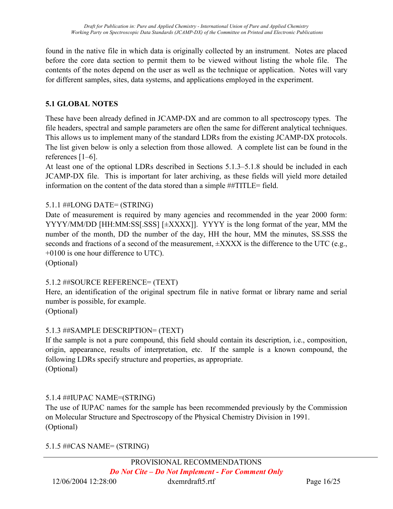found in the native file in which data is originally collected by an instrument. Notes are placed before the core data section to permit them to be viewed without listing the whole file. The contents of the notes depend on the user as well as the technique or application. Notes will vary for different samples, sites, data systems, and applications employed in the experiment.

# 5.1 GLOBAL NOTES

These have been already defined in JCAMP-DX and are common to all spectroscopy types. The file headers, spectral and sample parameters are often the same for different analytical techniques. This allows us to implement many of the standard LDRs from the existing JCAMP-DX protocols. The list given below is only a selection from those allowed. A complete list can be found in the references [1–6].

At least one of the optional LDRs described in Sections 5.1.3–5.1.8 should be included in each JCAMP-DX file. This is important for later archiving, as these fields will yield more detailed information on the content of the data stored than a simple ##TITLE= field.

# 5.1.1 ##LONG DATE= (STRING)

Date of measurement is required by many agencies and recommended in the year 2000 form: YYYY/MM/DD [HH:MM:SS[.SSS] [±XXXX]]. YYYY is the long format of the year, MM the number of the month, DD the number of the day, HH the hour, MM the minutes, SS.SSS the seconds and fractions of a second of the measurement,  $\pm$ XXXX is the difference to the UTC (e.g., +0100 is one hour difference to UTC).

(Optional)

# 5.1.2 ##SOURCE REFERENCE= (TEXT)

Here, an identification of the original spectrum file in native format or library name and serial number is possible, for example.

(Optional)

# 5.1.3 ##SAMPLE DESCRIPTION= (TEXT)

If the sample is not a pure compound, this field should contain its description, i.e., composition, origin, appearance, results of interpretation, etc. If the sample is a known compound, the following LDRs specify structure and properties, as appropriate. (Optional)

# 5.1.4 ##IUPAC NAME=(STRING)

The use of IUPAC names for the sample has been recommended previously by the Commission on Molecular Structure and Spectroscopy of the Physical Chemistry Division in 1991. (Optional)

# 5.1.5 ##CAS NAME= (STRING)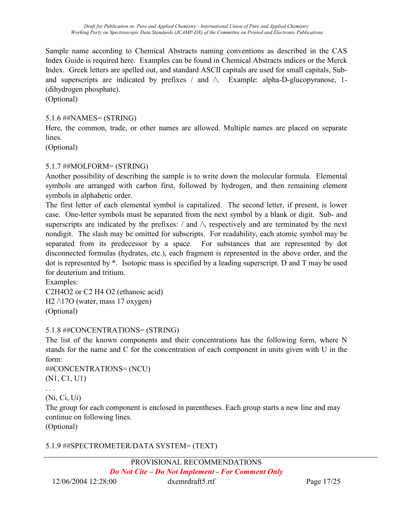Sample name according to Chemical Abstracts naming conventions as described in the CAS Index Guide is required here. Examples can be found in Chemical Abstracts indices or the Merck Index. Greek letters are spelled out, and standard ASCII capitals are used for small capitals, Suband superscripts are indicated by prefixes / and  $\wedge$ . Example: alpha-D-glucopyranose, 1-(dihydrogen phosphate).

(Optional)

#### 5.1.6 ##NAMES= (STRING)

Here, the common, trade, or other names are allowed. Multiple names are placed on separate lines.

(Optional)

### 5.1.7 ##MOLFORM= (STRING)

Another possibility of describing the sample is to write down the molecular formula. Elemental symbols are arranged with carbon first, followed by hydrogen, and then remaining element symbols in alphabetic order.

The first letter of each elemental symbol is capitalized. The second letter, if present, is lower case. One-letter symbols must be separated from the next symbol by a blank or digit. Sub- and superscripts are indicated by the prefixes:  $\ell$  and  $\Lambda$ , respectively and are terminated by the next nondigit. The slash may be omitted for subscripts. For readability, each atomic symbol may be separated from its predecessor by a space. For substances that are represented by dot disconnected formulas (hydrates, etc.), each fragment is represented in the above order, and the dot is represented by \*. Isotopic mass is specified by a leading superscript. D and T may be used for deuterium and tritium.

Examples: C2H4O2 or C2 H4 O2 (ethanoic acid) H2  $\wedge$ 17O (water, mass 17 oxygen) (Optional)

#### 5.1.8 ##CONCENTRATIONS= (STRING)

The list of the known components and their concentrations has the following form, where N stands for the name and C for the concentration of each component in units given with U in the form:

```
##CONCENTRATIONS= (NCU) 
(N1, C1, U1)
```
(Ni, Ci, Ui)

The group for each component is enclosed in parentheses. Each group starts a new line and may continue on following lines.

(Optional)

# 5.1.9 ##SPECTROMETER/DATA SYSTEM= (TEXT)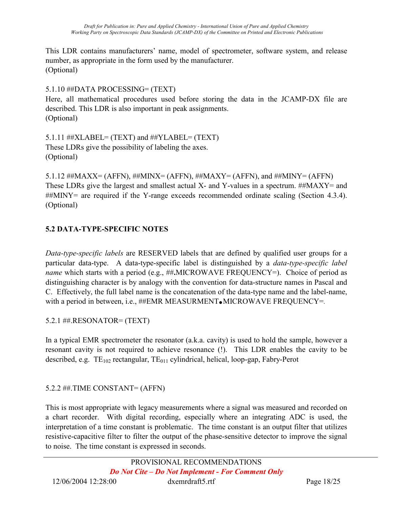This LDR contains manufacturers' name, model of spectrometer, software system, and release number, as appropriate in the form used by the manufacturer. (Optional)

5.1.10 ##DATA PROCESSING= (TEXT)

Here, all mathematical procedures used before storing the data in the JCAMP-DX file are described. This LDR is also important in peak assignments. (Optional)

5.1.11 ##XLABEL= (TEXT) and ##YLABEL= (TEXT) These LDRs give the possibility of labeling the axes. (Optional)

5.1.12  $\#$  $MAXX = (AFFN)$ ,  $\#$  $MINX = (AFFN)$ ,  $\#$  $MAXY = (AFFN)$ , and  $\#$  $MINY = (AFFN)$ These LDRs give the largest and smallest actual X- and Y-values in a spectrum. ##MAXY= and ##MINY= are required if the Y-range exceeds recommended ordinate scaling (Section 4.3.4). (Optional)

# 5.2 DATA-TYPE-SPECIFIC NOTES

Data-type-specific labels are RESERVED labels that are defined by qualified user groups for a particular data-type. A data-type-specific label is distinguished by a data-type-specific label name which starts with a period (e.g., ##.MICROWAVE FREQUENCY=). Choice of period as distinguishing character is by analogy with the convention for data-structure names in Pascal and C. Effectively, the full label name is the concatenation of the data-type name and the label-name, with a period in between, i.e.,  $\# \# EMR$  MEASURMENT. MICROWAVE FREQUENCY=.

5.2.1 ##.RESONATOR= (TEXT)

In a typical EMR spectrometer the resonator (a.k.a. cavity) is used to hold the sample, however a resonant cavity is not required to achieve resonance (!). This LDR enables the cavity to be described, e.g.  $TE_{102}$  rectangular,  $TE_{011}$  cylindrical, helical, loop-gap, Fabry-Perot

# 5.2.2 ##.TIME CONSTANT= (AFFN)

This is most appropriate with legacy measurements where a signal was measured and recorded on a chart recorder. With digital recording, especially where an integrating ADC is used, the interpretation of a time constant is problematic. The time constant is an output filter that utilizes resistive-capacitive filter to filter the output of the phase-sensitive detector to improve the signal to noise. The time constant is expressed in seconds.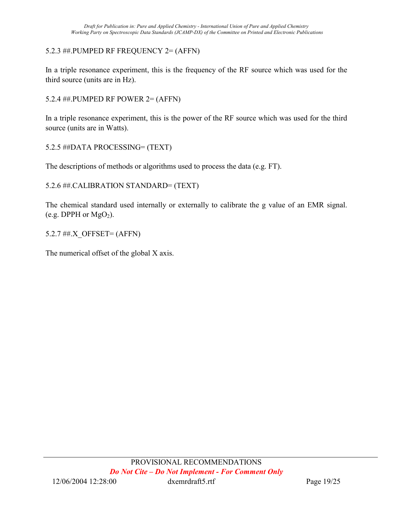# 5.2.3 ##.PUMPED RF FREQUENCY 2= (AFFN)

In a triple resonance experiment, this is the frequency of the RF source which was used for the third source (units are in Hz).

5.2.4 ##.PUMPED RF POWER 2= (AFFN)

In a triple resonance experiment, this is the power of the RF source which was used for the third source (units are in Watts).

5.2.5 ##DATA PROCESSING= (TEXT)

The descriptions of methods or algorithms used to process the data (e.g. FT).

5.2.6 ##.CALIBRATION STANDARD= (TEXT)

The chemical standard used internally or externally to calibrate the g value of an EMR signal. (e.g. DPPH or  $MgO<sub>2</sub>$ ).

5.2.7 ##.X\_OFFSET= (AFFN)

The numerical offset of the global X axis.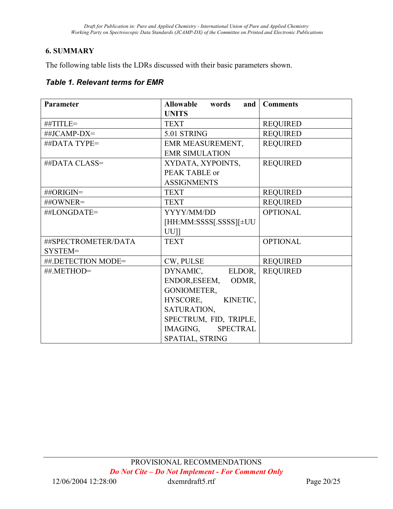# 6. SUMMARY

The following table lists the LDRs discussed with their basic parameters shown.

### Table 1. Relevant terms for EMR

| Parameter           | <b>Allowable</b><br>words<br>and | <b>Comments</b> |
|---------------------|----------------------------------|-----------------|
| ##TITLE=            | <b>UNITS</b><br><b>TEXT</b>      | <b>REQUIRED</b> |
|                     |                                  |                 |
| ##JCAMP-DX=         | 5.01 STRING                      | <b>REQUIRED</b> |
| ##DATA TYPE=        | EMR MEASUREMENT,                 | <b>REQUIRED</b> |
|                     | <b>EMR SIMULATION</b>            |                 |
| ##DATA CLASS=       | XYDATA, XYPOINTS,                | <b>REQUIRED</b> |
|                     | PEAK TABLE or                    |                 |
|                     | <b>ASSIGNMENTS</b>               |                 |
| ##ORIGIN=           | <b>TEXT</b>                      | <b>REQUIRED</b> |
| ##OWNER=            | <b>TEXT</b>                      | <b>REQUIRED</b> |
| ##LONGDATE=         | YYYY/MM/DD                       | <b>OPTIONAL</b> |
|                     | [HH:MM:SSSS[.SSSS][±UU           |                 |
|                     | $UU$ ]                           |                 |
| ##SPECTROMETER/DATA | <b>TEXT</b>                      | <b>OPTIONAL</b> |
| SYSTEM=             |                                  |                 |
| ##.DETECTION MODE=  | CW, PULSE                        | <b>REQUIRED</b> |
| ##.METHOD=          | DYNAMIC,<br>ELDOR,               | <b>REQUIRED</b> |
|                     | ENDOR, ESEEM,<br>ODMR.           |                 |
|                     | GONIOMETER,                      |                 |
|                     | HYSCORE, KINETIC,                |                 |
|                     | SATURATION,                      |                 |
|                     | SPECTRUM, FID, TRIPLE,           |                 |
|                     | IMAGING, SPECTRAL                |                 |
|                     | SPATIAL, STRING                  |                 |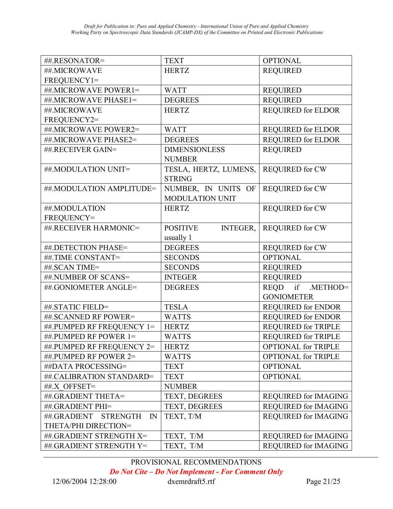| ##.RESONATOR=                                  | <b>TEXT</b>                        | <b>OPTIONAL</b>             |
|------------------------------------------------|------------------------------------|-----------------------------|
| ##.MICROWAVE                                   | <b>HERTZ</b>                       | <b>REQUIRED</b>             |
| FREQUENCY1=                                    |                                    |                             |
| ##.MICROWAVE POWER1=                           | <b>WATT</b>                        | <b>REQUIRED</b>             |
| ##.MICROWAVE PHASE1=                           | <b>DEGREES</b>                     | <b>REQUIRED</b>             |
| ##.MICROWAVE                                   | <b>HERTZ</b>                       | <b>REQUIRED for ELDOR</b>   |
| FREQUENCY2=                                    |                                    |                             |
| ##.MICROWAVE POWER2=                           | <b>WATT</b>                        | <b>REQUIRED for ELDOR</b>   |
| ##.MICROWAVE PHASE2=                           | <b>DEGREES</b>                     | <b>REQUIRED for ELDOR</b>   |
| ##.RECEIVER GAIN=                              | <b>DIMENSIONLESS</b>               | <b>REQUIRED</b>             |
|                                                | <b>NUMBER</b>                      |                             |
| ##.MODULATION UNIT=                            | TESLA, HERTZ, LUMENS,              | <b>REQUIRED for CW</b>      |
|                                                | <b>STRING</b>                      |                             |
| ##.MODULATION AMPLITUDE=                       | NUMBER, IN UNITS OF                | <b>REQUIRED for CW</b>      |
|                                                | <b>MODULATION UNIT</b>             |                             |
| ##.MODULATION                                  | <b>HERTZ</b>                       | <b>REQUIRED for CW</b>      |
| FREQUENCY=                                     |                                    |                             |
| ##.RECEIVER HARMONIC=                          | <b>POSITIVE</b><br><b>INTEGER,</b> | <b>REQUIRED for CW</b>      |
|                                                | usually 1                          |                             |
| ##.DETECTION PHASE=                            | <b>DEGREES</b>                     | <b>REQUIRED for CW</b>      |
| ##.TIME CONSTANT=                              | <b>SECONDS</b>                     | <b>OPTIONAL</b>             |
| ##.SCAN TIME=                                  | <b>SECONDS</b>                     | <b>REQUIRED</b>             |
| ##.NUMBER OF SCANS=                            | <b>INTEGER</b>                     | <b>REQUIRED</b>             |
| ##.GONIOMETER ANGLE=                           | <b>DEGREES</b>                     | REQD<br>if<br>.METHOD=      |
|                                                |                                    | <b>GONIOMETER</b>           |
| ##.STATIC FIELD=                               | <b>TESLA</b>                       | <b>REQUIRED for ENDOR</b>   |
| ##.SCANNED RF POWER=                           | <b>WATTS</b>                       | <b>REQUIRED for ENDOR</b>   |
| ##.PUMPED RF FREQUENCY 1=                      | <b>HERTZ</b>                       | <b>REQUIRED for TRIPLE</b>  |
| ##.PUMPED RF POWER 1=                          | <b>WATTS</b>                       | <b>REQUIRED for TRIPLE</b>  |
| ##.PUMPED RF FREQUENCY 2=                      | <b>HERTZ</b>                       | <b>OPTIONAL for TRIPLE</b>  |
| ##.PUMPED RF POWER 2=                          | <b>WATTS</b>                       | <b>OPTIONAL for TRIPLE</b>  |
| ##DATA PROCESSING=                             | <b>TEXT</b>                        | <b>OPTIONAL</b>             |
| ##.CALIBRATION STANDARD=                       | <b>TEXT</b>                        | <b>OPTIONAL</b>             |
| ##.X OFFSET=                                   | <b>NUMBER</b>                      |                             |
| ##.GRADIENT THETA=                             | TEXT, DEGREES                      | <b>REQUIRED for IMAGING</b> |
| ##.GRADIENT PHI=                               | TEXT, DEGREES                      | <b>REQUIRED for IMAGING</b> |
| ##.GRADIENT<br><b>STRENGTH</b><br>$\mathbb{N}$ | TEXT, T/M                          | <b>REQUIRED for IMAGING</b> |
| THETA/PHI DIRECTION=                           |                                    |                             |
| ##.GRADIENT STRENGTH X=                        | TEXT, T/M                          | <b>REQUIRED for IMAGING</b> |
| ##.GRADIENT STRENGTH Y=                        | TEXT, T/M                          | REQUIRED for IMAGING        |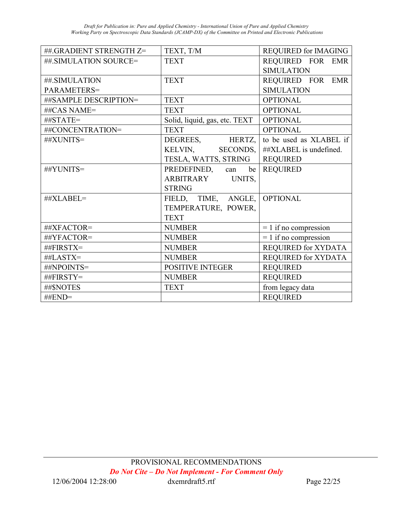| ##.GRADIENT STRENGTH Z= | TEXT, T/M                     | <b>REQUIRED for IMAGING</b> |
|-------------------------|-------------------------------|-----------------------------|
| ##.SIMULATION SOURCE=   | <b>TEXT</b>                   | REQUIRED FOR EMR            |
|                         |                               | <b>SIMULATION</b>           |
| ##.SIMULATION           | <b>TEXT</b>                   | REQUIRED FOR EMR            |
| PARAMETERS=             |                               | <b>SIMULATION</b>           |
| ##SAMPLE DESCRIPTION=   | <b>TEXT</b>                   | <b>OPTIONAL</b>             |
| ##CAS NAME=             | <b>TEXT</b>                   | <b>OPTIONAL</b>             |
| ##STATE=                | Solid, liquid, gas, etc. TEXT | <b>OPTIONAL</b>             |
| ##CONCENTRATION=        | <b>TEXT</b>                   | <b>OPTIONAL</b>             |
| ##XUNITS=               | DEGREES, HERTZ,               | to be used as XLABEL if     |
|                         | KELVIN, SECONDS,              | ##XLABEL is undefined.      |
|                         | TESLA, WATTS, STRING          | <b>REQUIRED</b>             |
| ##YUNITS=               | PREDEFINED, can               | be   REQUIRED               |
|                         | ARBITRARY UNITS,              |                             |
|                         | <b>STRING</b>                 |                             |
| ##XLABEL=               | FIELD, TIME, ANGLE,           | <b>OPTIONAL</b>             |
|                         | TEMPERATURE, POWER,           |                             |
|                         | <b>TEXT</b>                   |                             |
| ##XFACTOR=              | <b>NUMBER</b>                 | $= 1$ if no compression     |
| ##YFACTOR=              | <b>NUMBER</b>                 | $= 1$ if no compression     |
| ##FIRSTX=               | <b>NUMBER</b>                 | <b>REQUIRED for XYDATA</b>  |
| ##LASTX=                | <b>NUMBER</b>                 | <b>REQUIRED for XYDATA</b>  |
| ##NPOINTS=              | <b>POSITIVE INTEGER</b>       | <b>REQUIRED</b>             |
| ##FIRSTY=               | <b>NUMBER</b>                 | <b>REQUIRED</b>             |
| ##\$NOTES               | <b>TEXT</b>                   | from legacy data            |
| $\#$ <b>END=</b>        |                               | <b>REQUIRED</b>             |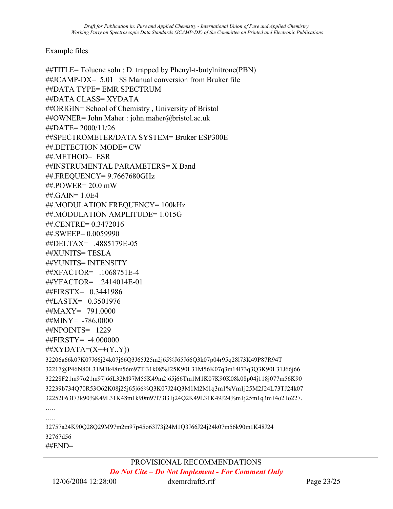#### Example files

```
##TITLE= Toluene soln : D. trapped by Phenyl-t-butylnitrone(PBN) 
\#HJCAMP-DX= 5.01 $$ Manual conversion from Bruker file
##DATA TYPE= EMR SPECTRUM 
##DATA CLASS= XYDATA 
##ORIGIN= School of Chemistry , University of Bristol 
##OWNER= John Maher : john.maher@bristol.ac.uk 
##DATE= 2000/11/26 
##SPECTROMETER/DATA SYSTEM= Bruker ESP300E 
##.DETECTION MODE= CW 
##.METHOD= ESR 
##INSTRUMENTAL PARAMETERS= X Band 
##.FREQUENCY= 9.7667680GHz 
##.POWER= 20.0 mW 
##.GAIN= 1.0E4 
##.MODULATION FREQUENCY= 100kHz 
##.MODULATION AMPLITUDE= 1.015G 
##.CENTRE= 0.3472016 
##.SWEEP= 0.0059990 
##DELTAX= .4885179E-05 
##XUNITS= TESLA 
##YUNITS= INTENSITY 
##XFACTOR= .1068751E-4 
##YFACTOR= .2414014E-01 
##FIRSTX= 0.3441986 
##LASTX= 0.3501976 
##MAXY= 791.0000 
\#\#MINY= -786.0000
##NPOINTS= 1229 
##FIRSTY= -4.000000 
\# XYDATA=(X++(Y..Y))32206a66k07K07J66j24k07j66Q3J65J25m2j65%J65J66Q3k07p04r95q28l73K49P87R94T 
32217@P46N80L31M1k48m56m97Tl31k08%J25K90L31M56K07q3m14l73q3Q3K90L31J66j66 
32228F21m97o21m97j66L32M97M55K49m2j65j66Tm1M1K07K90K08k08p04j118j077m56K90 
32239b734Q70R53O62K08j25j65j66%Q3K07J24Q3M1M2M1q3m1%Vm1j25M2J24L73TJ24k07 
32252F63l73k90%K49L31K48m1k90m97l73l31j24Q2K49L31K49J24%m1j25m1q3m14o21o227. 
….. 
….
32757a24K90Q28Q29M97m2m97p45o63l73j24M1Q3J66J24j24k07m56k90m1K48J24 
32767d56 
##END=
```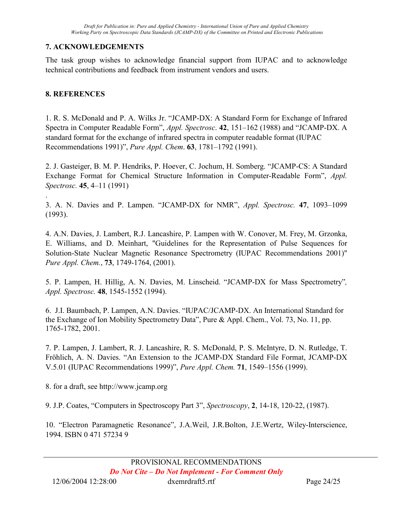### 7. ACKNOWLEDGEMENTS

The task group wishes to acknowledge financial support from IUPAC and to acknowledge technical contributions and feedback from instrument vendors and users.

### 8. REFERENCES

.

1. R. S. McDonald and P. A. Wilks Jr. "JCAMP-DX: A Standard Form for Exchange of Infrared Spectra in Computer Readable Form", Appl. Spectrosc. 42, 151–162 (1988) and "JCAMP-DX. A standard format for the exchange of infrared spectra in computer readable format (IUPAC Recommendations 1991)", Pure Appl. Chem. 63, 1781–1792 (1991).

2. J. Gasteiger, B. M. P. Hendriks, P. Hoever, C. Jochum, H. Somberg. "JCAMP-CS: A Standard Exchange Format for Chemical Structure Information in Computer-Readable Form", Appl. Spectrosc. 45, 4–11 (1991)

3. A. N. Davies and P. Lampen. "JCAMP-DX for NMR", Appl. Spectrosc. 47, 1093–1099 (1993).

4. A.N. Davies, J. Lambert, R.J. Lancashire, P. Lampen with W. Conover, M. Frey, M. Grzonka, E. Williams, and D. Meinhart, "Guidelines for the Representation of Pulse Sequences for Solution-State Nuclear Magnetic Resonance Spectrometry (IUPAC Recommendations 2001)" Pure Appl. Chem., 73, 1749-1764, (2001).

5. P. Lampen, H. Hillig, A. N. Davies, M. Linscheid. "JCAMP-DX for Mass Spectrometry", Appl. Spectrosc. 48, 1545-1552 (1994).

6. J.I. Baumbach, P. Lampen, A.N. Davies. "IUPAC/JCAMP-DX. An International Standard for the Exchange of Ion Mobility Spectrometry Data", Pure & Appl. Chem., Vol. 73, No. 11, pp. 1765-1782, 2001.

7. P. Lampen, J. Lambert, R. J. Lancashire, R. S. McDonald, P. S. McIntyre, D. N. Rutledge, T. Fröhlich, A. N. Davies. "An Extension to the JCAMP-DX Standard File Format, JCAMP-DX V.5.01 (IUPAC Recommendations 1999)", Pure Appl. Chem. 71, 1549–1556 (1999).

8. for a draft, see http://www.jcamp.org

9. J.P. Coates, "Computers in Spectroscopy Part 3", Spectroscopy, 2, 14-18, 120-22, (1987).

10. "Electron Paramagnetic Resonance", J.A.Weil, J.R.Bolton, J.E.Wertz, Wiley-Interscience, 1994. ISBN 0 471 57234 9